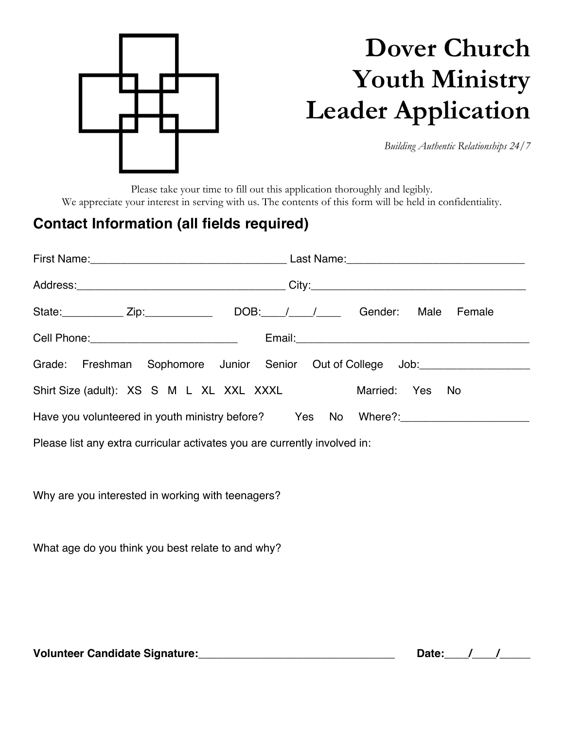

## **Dover Church Youth Ministry Leader Application**

*Building Authentic Relationships 24/7*

Please take your time to fill out this application thoroughly and legibly. We appreciate your interest in serving with us. The contents of this form will be held in confidentiality.

## **Contact Information (all fields required)**

|                                                                                  | State: Zip: Zip: DOB: / / / Gender: Male Female                                                                |  |  |  |  |  |  |
|----------------------------------------------------------------------------------|----------------------------------------------------------------------------------------------------------------|--|--|--|--|--|--|
| Cell Phone: ____________________________                                         |                                                                                                                |  |  |  |  |  |  |
| Grade: Freshman Sophomore Junior Senior Out of College Job: ____________________ |                                                                                                                |  |  |  |  |  |  |
| Shirt Size (adult): XS S M L XL XXL XXXL                                         | Married: Yes No                                                                                                |  |  |  |  |  |  |
|                                                                                  | Have you volunteered in youth ministry before? Yes No Where?: 1980 Morrow Muslem Collection Muslem Muslem Musl |  |  |  |  |  |  |
| Please list any extra curricular activates you are currently involved in:        |                                                                                                                |  |  |  |  |  |  |

Why are you interested in working with teenagers?

What age do you think you best relate to and why?